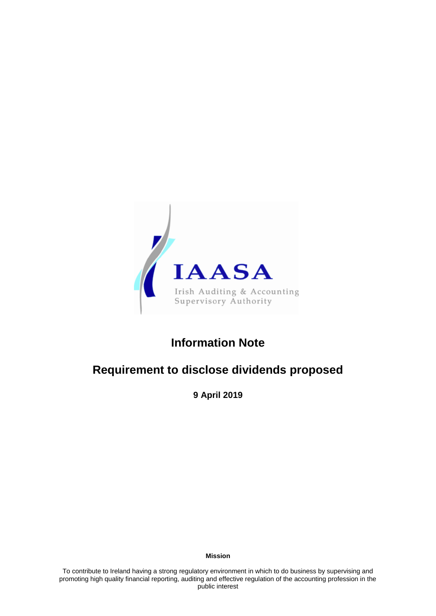

## **Information Note**

# **Requirement to disclose dividends proposed**

**9 April 2019**

**Mission**

To contribute to Ireland having a strong regulatory environment in which to do business by supervising and promoting high quality financial reporting, auditing and effective regulation of the accounting profession in the public interest